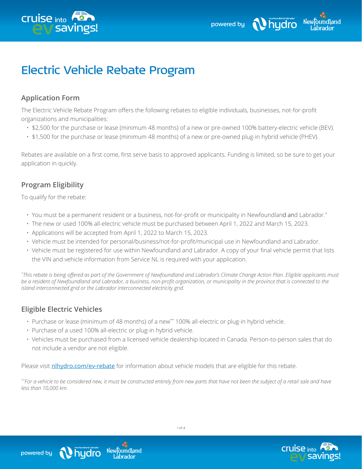



# Electric Vehicle Rebate Program

## **Application Form**

The Electric Vehicle Rebate Program offers the following rebates to eligible individuals, businesses, not-for-profit organizations and municipalities:

- \$2,500 for the purchase or lease (minimum 48 months) of a new or pre-owned 100% battery-electric vehicle (BEV).
- \$1,500 for the purchase or lease (minimum 48 months) of a new or pre-owned plug-in hybrid vehicle (PHEV).

Rebates are available on a first come, first serve basis to approved applicants. Funding is limited, so be sure to get your application in quickly.

## **Program Eligibility**

To qualify for the rebate:

- You must be a permanent resident or a business, not-for-profit or municipality in Newfoundland and Labrador.\*
- The new or used 100% all-electric vehicle must be purchased between April 1, 2022 and March 15, 2023.
- Applications will be accepted from April 1, 2022 to March 15, 2023.
- Vehicle must be intended for personal/business/not-for-profit/municipal use in Newfoundland and Labrador.
- Vehicle must be registered for use within Newfoundland and Labrador. A copy of your final vehicle permit that lists the VIN and vehicle information from Service NL is required with your application.

*\* This rebate is being offered as part of the Government of Newfoundland and Labrador's Climate Change Action Plan. Eligible applicants must be a resident of Newfoundland and Labrador, a business, non-profit organization, or municipality in the province that is connected to the island interconnected grid or the Labrador interconnected electricity grid.*

#### **Eligible Electric Vehicles**

- Purchase or lease (minimum of 48 months) of a new\*\* 100% all-electric or plug-in hybrid vehicle.
- Purchase of a used 100% all-electric or plug-in hybrid vehicle.

Newtoundland

.ābrador

hudro

• Vehicles must be purchased from a licensed vehicle dealership located in Canada. Person-to-person sales that do not include a vendor are not eligible.

Please visit [nlhydro.com/ev-rebate](http://nlhydro.com/ev-rebate) for information about vehicle models that are eligible for this rebate.

*\*\*For a vehicle to be considered new, it must be constructed entirely from new parts that have not been the subject of a retail sale and have less than 10,000 km.*



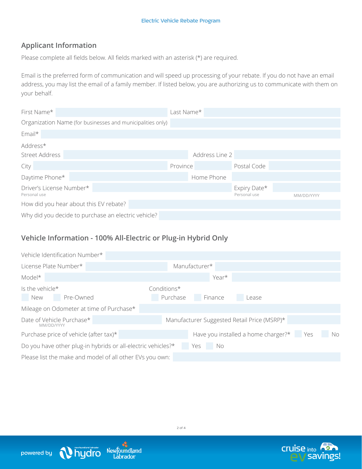## **Applicant Information**

Please complete all fields below. All fields marked with an asterisk (\*) are required.

Email is the preferred form of communication and will speed up processing of your rebate. If you do not have an email address, you may list the email of a family member. If listed below, you are authorizing us to communicate with them on your behalf.

| First Name*                                                | Last Name*     |              |            |
|------------------------------------------------------------|----------------|--------------|------------|
| Organization Name (for businesses and municipalities only) |                |              |            |
| Email*                                                     |                |              |            |
| Address*                                                   |                |              |            |
| <b>Street Address</b>                                      | Address Line 2 |              |            |
| City                                                       | Province       | Postal Code  |            |
| Daytime Phone*                                             | Home Phone     |              |            |
| Driver's License Number*                                   |                | Expiry Date* |            |
| Personal use                                               |                | Personal use | MM/DD/YYYY |
| How did you hear about this EV rebate?                     |                |              |            |
| Why did you decide to purchase an electric vehicle?        |                |              |            |

#### **Vehicle Information - 100% All-Electric or Plug-in Hybrid Only**

Newfoundland

Labrador

Nieuteundland labrador

powered by

| Vehicle Identification Number*                                   |                                             |    |
|------------------------------------------------------------------|---------------------------------------------|----|
| License Plate Number*                                            | Manufacturer*                               |    |
| Model*                                                           | Year*                                       |    |
| Is the vehicle*<br>Pre-Owned<br><b>New</b>                       | Conditions*<br>Purchase<br>Finance<br>Lease |    |
| Mileage on Odometer at time of Purchase*                         |                                             |    |
| Date of Vehicle Purchase*<br>MM/DD/YYYY                          | Manufacturer Suggested Retail Price (MSRP)* |    |
| Purchase price of vehicle (after tax)*                           | Have you installed a home charger?* Yes     | No |
| Do you have other plug-in hybrids or all-electric vehicles?* Yes | - No                                        |    |
| Please list the make and model of all other EVs you own:         |                                             |    |



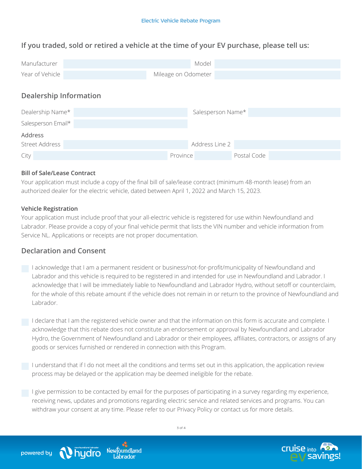## **If you traded, sold or retired a vehicle at the time of your EV purchase, please tell us:**

| Manufacturer                  | Model                   |  |  |
|-------------------------------|-------------------------|--|--|
| Year of Vehicle               | Mileage on Odometer     |  |  |
| <b>Dealership Information</b> |                         |  |  |
| Dealership Name*              | Salesperson Name*       |  |  |
| Salesperson Email*            |                         |  |  |
| Address                       |                         |  |  |
| Street Address                | Address Line 2          |  |  |
| City                          | Postal Code<br>Province |  |  |

#### **Bill of Sale/Lease Contract**

Your application must include a copy of the final bill of sale/lease contract (minimum 48-month lease) from an authorized dealer for the electric vehicle, dated between April 1, 2022 and March 15, 2023.

#### **Vehicle Registration**

Your application must include proof that your all-electric vehicle is registered for use within Newfoundland and Labrador. Please provide a copy of your final vehicle permit that lists the VIN number and vehicle information from Service NL. Applications or receipts are not proper documentation.

#### **Declaration and Consent**

I acknowledge that I am a permanent resident or business/not-for-profit/municipality of Newfoundland and Labrador and this vehicle is required to be registered in and intended for use in Newfoundland and Labrador. I acknowledge that I will be immediately liable to Newfoundland and Labrador Hydro, without setoff or counterclaim, for the whole of this rebate amount if the vehicle does not remain in or return to the province of Newfoundland and Labrador.

I declare that I am the registered vehicle owner and that the information on this form is accurate and complete. I acknowledge that this rebate does not constitute an endorsement or approval by Newfoundland and Labrador Hydro, the Government of Newfoundland and Labrador or their employees, affiliates, contractors, or assigns of any goods or services furnished or rendered in connection with this Program.

I understand that if I do not meet all the conditions and terms set out in this application, the application review process may be delayed or the application may be deemed ineligible for the rebate.

 $\Box$  I give permission to be contacted by email for the purposes of participating in a survey regarding my experience, receiving news, updates and promotions regarding electric service and related services and programs. You can withdraw your consent at any time. Please refer to our Privacy Policy or contact us for more details.



Newtoundland

àbrador

hudro